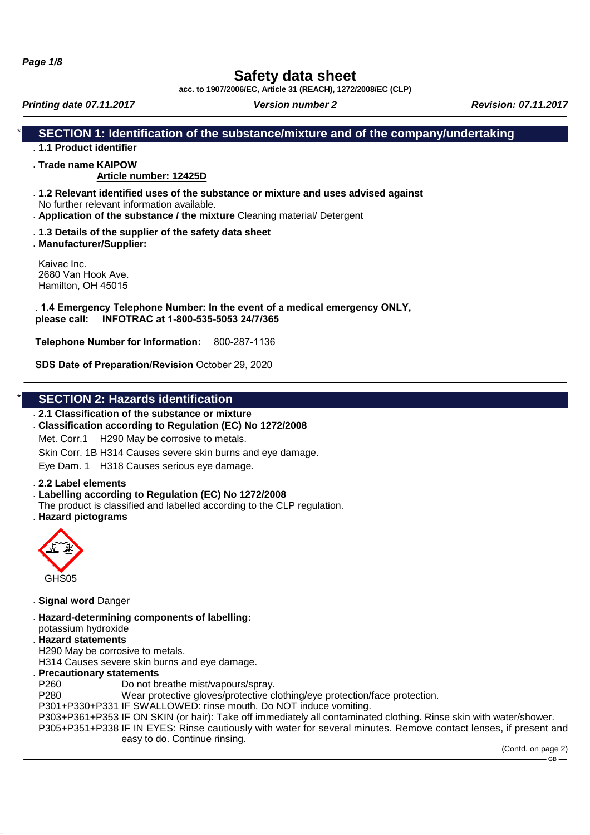**Page 1/8**

# **Safety data sheet**

**acc. to 1907/2006/EC, Article 31 (REACH), 1272/2008/EC (CLP)**

**Printing date 07.11.2017 Version number 2 Revision: 07.11.2017 Revision: 07.11.2017** 

### **SECTION 1: Identification of the substance/mixture and of the company/undertaking**

## . **1.1 Product identifier**

. **Trade name KAIPOW**

### **Article number: 12425D**

- . **1.2 Relevant identified uses of the substance or mixture and uses advised against** No further relevant information available.
- . **Application of the substance / the mixture** Cleaning material/ Detergent
- . **1.3 Details of the supplier of the safety data sheet**
- . **Manufacturer/Supplier:**

Kaivac Inc. 2680 Van Hook Ave. Hamilton, OH 45015

#### . **1.4 Emergency Telephone Number: In the event of a medical emergency ONLY, please call: INFOTRAC at 1-800-535-5053 24/7/365**

**Telephone Number for Information:** 800-287-1136

**SDS Date of Preparation/Revision** October 29, 2020

### **SECTION 2: Hazards identification**

#### . **2.1 Classification of the substance or mixture**

. **Classification according to Regulation (EC) No 1272/2008**

Met. Corr.1 H290 May be corrosive to metals.

Skin Corr. 1B H314 Causes severe skin burns and eye damage.

Eye Dam. 1 H318 Causes serious eye damage.

#### . **2.2 Label elements**

- . **Labelling according to Regulation (EC) No 1272/2008**
- The product is classified and labelled according to the CLP regulation.
- . **Hazard pictograms**



- . **Signal word** Danger
- . **Hazard-determining components of labelling:**

potassium hydroxide

- . **Hazard statements** H290 May be corrosive to metals.
- H314 Causes severe skin burns and eye damage.

#### . **Precautionary statements**

P260 Do not breathe mist/vapours/spray.

P280 Wear protective gloves/protective clothing/eye protection/face protection.

P301+P330+P331 IF SWALLOWED: rinse mouth. Do NOT induce vomiting.

P303+P361+P353 IF ON SKIN (or hair): Take off immediately all contaminated clothing. Rinse skin with water/shower.

P305+P351+P338 IF IN EYES: Rinse cautiously with water for several minutes. Remove contact lenses, if present and easy to do. Continue rinsing.

(Contd. on page 2)

 $-$  GB  $-$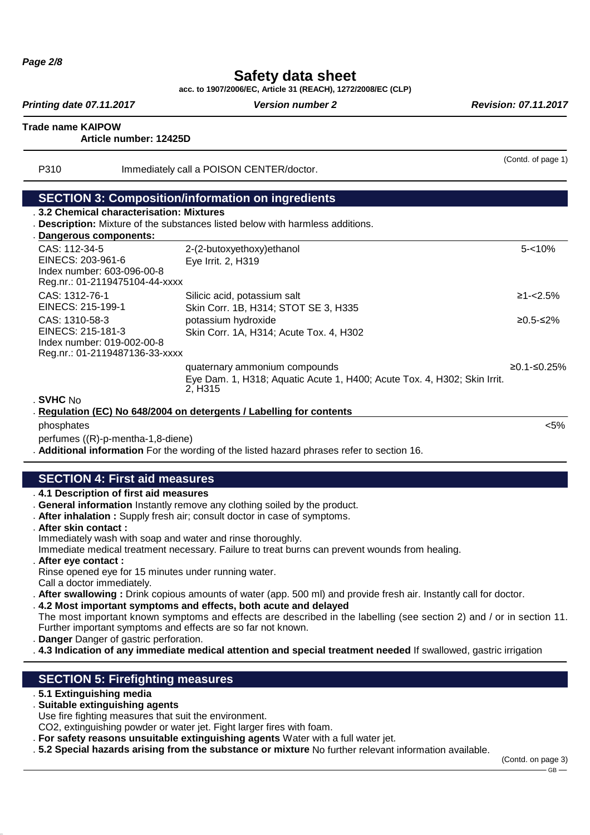# **Safety data sheet**

**acc. to 1907/2006/EC, Article 31 (REACH), 1272/2008/EC (CLP)**

**Printing date 07.11.2017 Version number 2 Revision: 07.11.2017 Revision: 07.11.2017** 

(Contd. of page 1)

**Trade name KAIPOW**

**Article number: 12425D**

P310 Immediately call a POISON CENTER/doctor.

#### **SECTION 3: Composition/information on ingredients**

- . **3.2 Chemical characterisation: Mixtures**
- . **Description:** Mixture of the substances listed below with harmless additions.

| Dangerous components:                                                                               |                                                                                                                                   |               |
|-----------------------------------------------------------------------------------------------------|-----------------------------------------------------------------------------------------------------------------------------------|---------------|
| CAS: 112-34-5<br>EINECS: 203-961-6<br>Index number: 603-096-00-8<br>Reg.nr.: 01-2119475104-44-xxxx  | 2-(2-butoxyethoxy) ethanol<br>Eye Irrit. 2, H319                                                                                  | $5 - 10%$     |
| CAS: 1312-76-1<br>EINECS: 215-199-1                                                                 | Silicic acid, potassium salt<br>Skin Corr. 1B, H314; STOT SE 3, H335                                                              | $≥1 - < 2.5%$ |
| CAS: 1310-58-3<br>EINECS: 215-181-3<br>Index number: 019-002-00-8<br>Reg.nr.: 01-2119487136-33-xxxx | potassium hydroxide<br>Skin Corr. 1A, H314; Acute Tox. 4, H302                                                                    | $≥0.5-S2%$    |
|                                                                                                     | quaternary ammonium compounds<br>Eye Dam. 1, H318; Aquatic Acute 1, H400; Acute Tox. 4, H302; Skin Irrit.<br>2. H <sub>3</sub> 15 | ≥0.1-≤0.25%   |

. **SVHC** No

Regulation (EC) No 648/2004 on detergents / Labelling for contents phosphates <5%

perfumes ((R)-p-mentha-1,8-diene)

. **Additional information** For the wording of the listed hazard phrases refer to section 16.

## **SECTION 4: First aid measures**

- . **4.1 Description of first aid measures**
- . **General information** Instantly remove any clothing soiled by the product.
- . **After inhalation :** Supply fresh air; consult doctor in case of symptoms.
- . **After skin contact :**
- Immediately wash with soap and water and rinse thoroughly.

Immediate medical treatment necessary. Failure to treat burns can prevent wounds from healing.

- . **After eye contact :** Rinse opened eye for 15 minutes under running water. Call a doctor immediately.
- . **After swallowing :** Drink copious amounts of water (app. 500 ml) and provide fresh air. Instantly call for doctor.
- . **4.2 Most important symptoms and effects, both acute and delayed**
- The most important known symptoms and effects are described in the labelling (see section 2) and / or in section 11. Further important symptoms and effects are so far not known.
- . **Danger** Danger of gastric perforation.
- . **4.3 Indication of any immediate medical attention and special treatment needed** If swallowed, gastric irrigation

## **SECTION 5: Firefighting measures**

- . **5.1 Extinguishing media**
- . **Suitable extinguishing agents**
- Use fire fighting measures that suit the environment.

CO2, extinguishing powder or water jet. Fight larger fires with foam.

- . **For safety reasons unsuitable extinguishing agents** Water with a full water jet.
- . **5.2 Special hazards arising from the substance or mixture** No further relevant information available.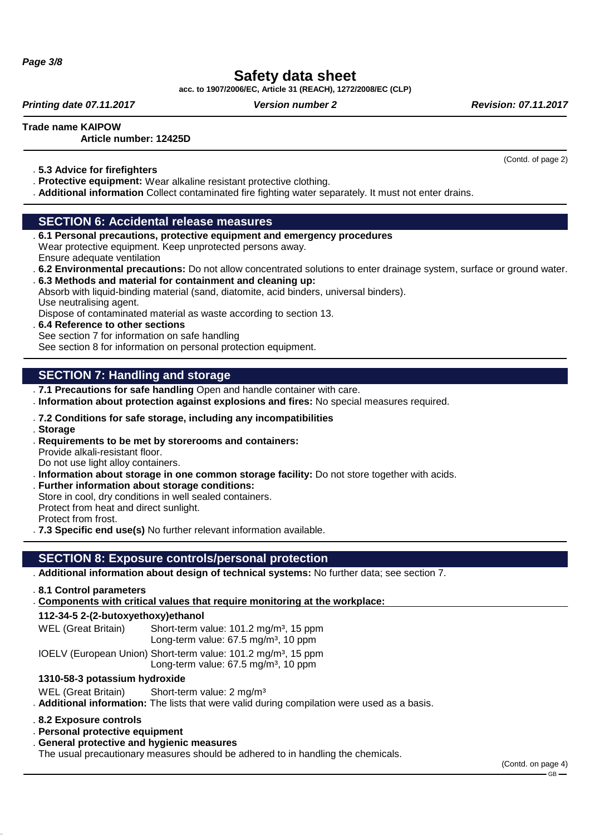**Page 3/8**

# **Safety data sheet**

**acc. to 1907/2006/EC, Article 31 (REACH), 1272/2008/EC (CLP)**

**Printing date 07.11.2017 Version number 2 Revision: 07.11.2017 Revision: 07.11.2017** 

(Contd. of page 2)

**Trade name KAIPOW**

#### **Article number: 12425D**

. **5.3 Advice for firefighters**

- . **Protective equipment:** Wear alkaline resistant protective clothing.
- . **Additional information** Collect contaminated fire fighting water separately. It must not enter drains.

### **SECTION 6: Accidental release measures**

- . **6.1 Personal precautions, protective equipment and emergency procedures** Wear protective equipment. Keep unprotected persons away. Ensure adequate ventilation
- . **6.2 Environmental precautions:** Do not allow concentrated solutions to enter drainage system, surface or ground water. . **6.3 Methods and material for containment and cleaning up:**

Absorb with liquid-binding material (sand, diatomite, acid binders, universal binders). Use neutralising agent.

Dispose of contaminated material as waste according to section 13.

. **6.4 Reference to other sections** See section 7 for information on safe handling See section 8 for information on personal protection equipment.

## **SECTION 7: Handling and storage**

- . **7.1 Precautions for safe handling** Open and handle container with care.
- . **Information about protection against explosions and fires:** No special measures required.
- . **7.2 Conditions for safe storage, including any incompatibilities**
- . **Storage**
- . **Requirements to be met by storerooms and containers:** Provide alkali-resistant floor.

Do not use light alloy containers.

- . **Information about storage in one common storage facility:** Do not store together with acids. . **Further information about storage conditions:**
- Store in cool, dry conditions in well sealed containers. Protect from heat and direct sunlight. Protect from frost.
- . **7.3 Specific end use(s)** No further relevant information available.

## **SECTION 8: Exposure controls/personal protection**

- . **Additional information about design of technical systems:** No further data; see section 7.
- . **8.1 Control parameters**
- . Components with critical values that require monitoring at the workplace:

### **112-34-5 2-(2-butoxyethoxy)ethanol**

WEL (Great Britain) Short-term value: 101.2 mg/m<sup>3</sup>, 15 ppm Long-term value:  $67.5$  mg/m<sup>3</sup>, 10 ppm

IOELV (European Union) Short-term value: 101.2 mg/m<sup>3</sup>, 15 ppm Long-term value:  $67.5 \text{ mg/m}^3$ , 10 ppm

### **1310-58-3 potassium hydroxide**

WEL (Great Britain) Short-term value: 2 mg/m<sup>3</sup>

. **Additional information:** The lists that were valid during compilation were used as a basis.

- . **8.2 Exposure controls**
- . **Personal protective equipment**
- . **General protective and hygienic measures**

The usual precautionary measures should be adhered to in handling the chemicals.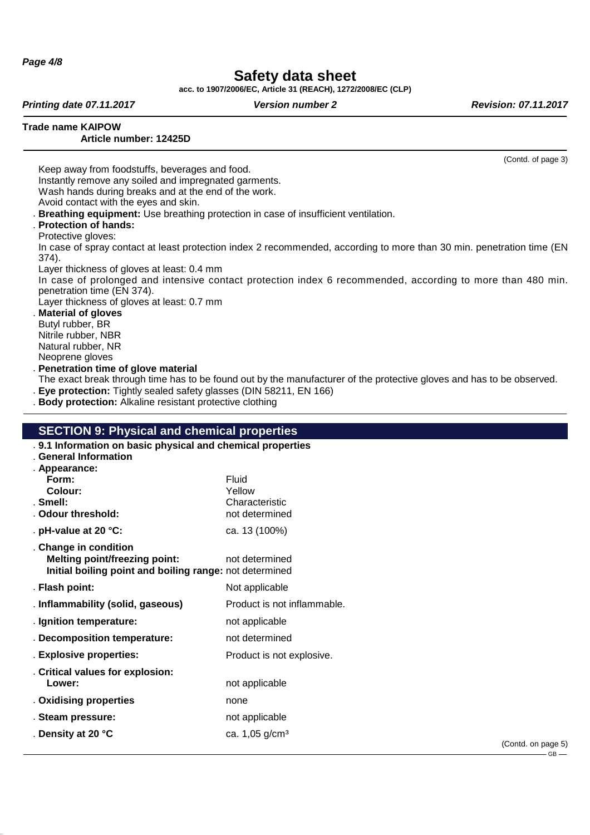**Page 4/8**

# **Safety data sheet**

**acc. to 1907/2006/EC, Article 31 (REACH), 1272/2008/EC (CLP)**

**Printing date 07.11.2017 Version number 2 Revision: 07.11.2017 Revision: 07.11.2017** 

(Contd. of page 3)

**Trade name KAIPOW**

#### **Article number: 12425D**

Keep away from foodstuffs, beverages and food. Instantly remove any soiled and impregnated garments. Wash hands during breaks and at the end of the work. Avoid contact with the eyes and skin.

- . **Breathing equipment:** Use breathing protection in case of insufficient ventilation.
- . **Protection of hands:**
- Protective gloves:

In case of spray contact at least protection index 2 recommended, according to more than 30 min. penetration time (EN 374).

Layer thickness of gloves at least: 0.4 mm

In case of prolonged and intensive contact protection index 6 recommended, according to more than 480 min. penetration time (EN 374).

Layer thickness of gloves at least: 0.7 mm

. **Material of gloves** Butyl rubber, BR Nitrile rubber, NBR Natural rubber, NR Neoprene gloves

. **Penetration time of glove material**

The exact break through time has to be found out by the manufacturer of the protective gloves and has to be observed.

- . **Eye protection:** Tightly sealed safety glasses (DIN 58211, EN 166)
- . **Body protection:** Alkaline resistant protective clothing

### **SECTION 9: Physical and chemical properties**

| . 9.1 Information on basic physical and chemical properties                                                              |                             |
|--------------------------------------------------------------------------------------------------------------------------|-----------------------------|
| . General Information                                                                                                    |                             |
| . Appearance:                                                                                                            |                             |
| Form:                                                                                                                    | Fluid                       |
| Colour:                                                                                                                  | Yellow                      |
| . Smell:                                                                                                                 | Characteristic              |
| . Odour threshold:                                                                                                       | not determined              |
| . pH-value at 20 $°C$ :                                                                                                  | ca. 13 (100%)               |
| . Change in condition<br><b>Melting point/freezing point:</b><br>Initial boiling point and boiling range: not determined | not determined              |
| . Flash point:                                                                                                           | Not applicable              |
| . Inflammability (solid, gaseous)                                                                                        | Product is not inflammable. |
| . Ignition temperature:                                                                                                  | not applicable              |
| . Decomposition temperature:                                                                                             | not determined              |
| . Explosive properties:                                                                                                  | Product is not explosive.   |
| . Critical values for explosion:                                                                                         |                             |
| Lower:                                                                                                                   | not applicable              |
| . Oxidising properties                                                                                                   | none                        |
| . Steam pressure:                                                                                                        | not applicable              |
| . Density at 20 °C                                                                                                       | ca. 1,05 g/cm <sup>3</sup>  |
|                                                                                                                          |                             |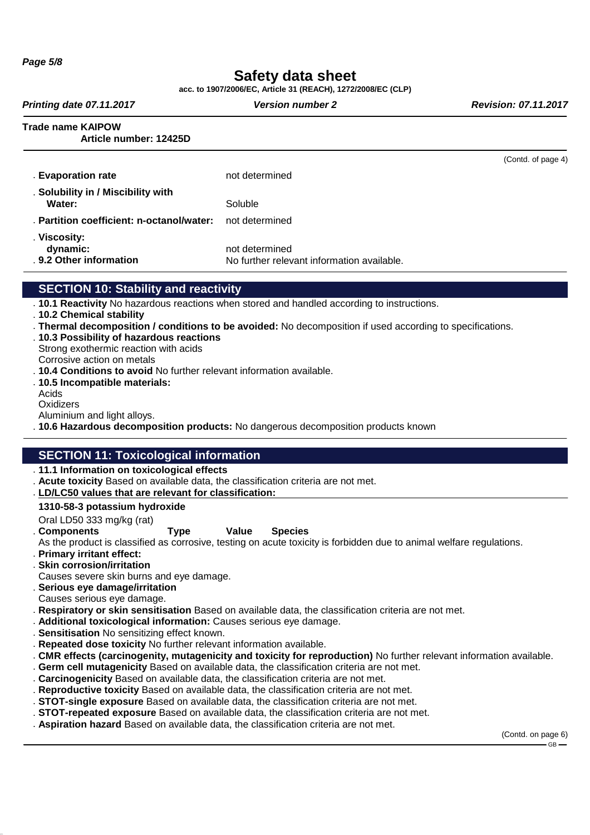**Page 5/8**

# **Safety data sheet**

**acc. to 1907/2006/EC, Article 31 (REACH), 1272/2008/EC (CLP)**

**Printing date 07.11.2017 Version number 2 Revision: 07.11.2017 Revision: 07.11.2017** 

**Trade name KAIPOW**

**Article number: 12425D**

|                                                     |                                                              | (Contd. of page 4) |
|-----------------------------------------------------|--------------------------------------------------------------|--------------------|
| . Evaporation rate                                  | not determined                                               |                    |
| . Solubility in / Miscibility with<br>Water:        | Soluble                                                      |                    |
| . Partition coefficient: n-octanol/water:           | not determined                                               |                    |
| . Viscosity:<br>dynamic:<br>. 9.2 Other information | not determined<br>No further relevant information available. |                    |
| APATIAN 1A                                          |                                                              |                    |

## **SECTION 10: Stability and reactivity**

- . **10.1 Reactivity** No hazardous reactions when stored and handled according to instructions.
- . **10.2 Chemical stability**
- . **Thermal decomposition / conditions to be avoided:** No decomposition if used according to specifications.
- . **10.3 Possibility of hazardous reactions**
- Strong exothermic reaction with acids Corrosive action on metals
- . **10.4 Conditions to avoid** No further relevant information available.
- . **10.5 Incompatible materials:**
- Acids
- **Oxidizers** Aluminium and light alloys.

. **10.6 Hazardous decomposition products:** No dangerous decomposition products known

## **SECTION 11: Toxicological information**

- . **11.1 Information on toxicological effects**
- . **Acute toxicity** Based on available data, the classification criteria are not met.
- **LD/LC50 values that are relevant for classification** . **:**

#### **1310-58-3 potassium hydroxide**

- Oral LD50 333 mg/kg (rat)
- 

#### . **Components Type Value Species**

As the product is classified as corrosive, testing on acute toxicity is forbidden due to animal welfare regulations.

- . **Primary irritant effect:**
- . **Skin corrosion/irritation**
- Causes severe skin burns and eye damage.
- . **Serious eye damage/irritation**
- Causes serious eye damage.
- . **Respiratory or skin sensitisation** Based on available data, the classification criteria are not met.
- . **Additional toxicological information:** Causes serious eye damage.
- . **Sensitisation** No sensitizing effect known.
- . **Repeated dose toxicity** No further relevant information available.
- . **CMR effects (carcinogenity, mutagenicity and toxicity for reproduction)** No further relevant information available.
- . **Germ cell mutagenicity** Based on available data, the classification criteria are not met.
- . **Carcinogenicity** Based on available data, the classification criteria are not met.
- . **Reproductive toxicity** Based on available data, the classification criteria are not met.
- . **STOT-single exposure** Based on available data, the classification criteria are not met.
- . **STOT-repeated exposure** Based on available data, the classification criteria are not met.
- . **Aspiration hazard** Based on available data, the classification criteria are not met.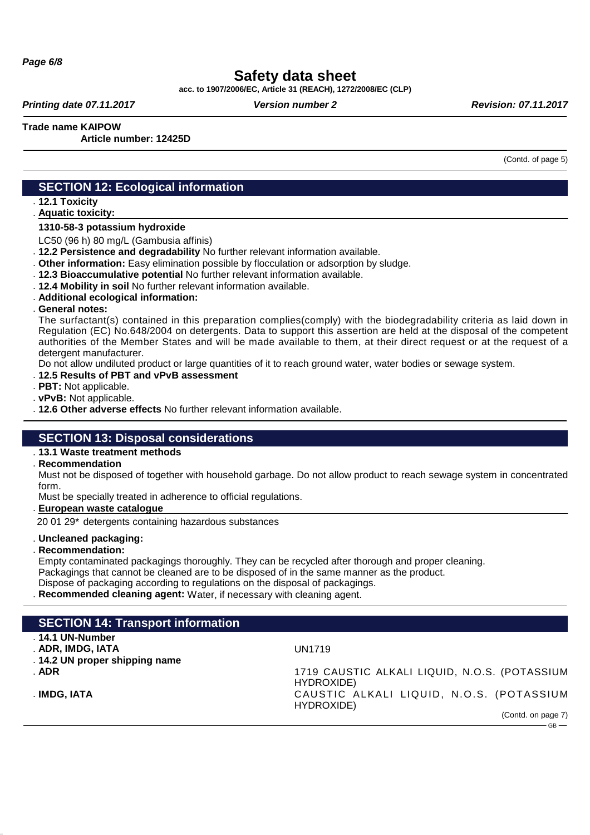# **Safety data sheet**

**acc. to 1907/2006/EC, Article 31 (REACH), 1272/2008/EC (CLP)**

**Printing date 07.11.2017 Version number 2 Revision: 07.11.2017 Revision: 07.11.2017** 

**Trade name KAIPOW**

**Article number: 12425D**

(Contd. of page 5)

### **SECTION 12: Ecological information**

. **12.1 Toxicity**

**Aquatic toxicity:** .

#### **1310-58-3 potassium hydroxide**

LC50 (96 h) 80 mg/L (Gambusia affinis)

. **12.2 Persistence and degradability** No further relevant information available.

. **Other information:** Easy elimination possible by flocculation or adsorption by sludge.

. **12.3 Bioaccumulative potential** No further relevant information available.

- . **12.4 Mobility in soil** No further relevant information available.
- . **Additional ecological information:**
- . **General notes:**

The surfactant(s) contained in this preparation complies(comply) with the biodegradability criteria as laid down in Regulation (EC) No.648/2004 on detergents. Data to support this assertion are held at the disposal of the competent authorities of the Member States and will be made available to them, at their direct request or at the request of a detergent manufacturer.

Do not allow undiluted product or large quantities of it to reach ground water, water bodies or sewage system.

- . **12.5 Results of PBT and vPvB assessment**
- . **PBT:** Not applicable.
- . **vPvB:** Not applicable.

. **12.6 Other adverse effects** No further relevant information available.

### **SECTION 13: Disposal considerations**

#### . **13.1 Waste treatment methods**

. **Recommendation**

Must not be disposed of together with household garbage. Do not allow product to reach sewage system in concentrated form.

Must be specially treated in adherence to official regulations.

**European waste catalogue** .

20 01 29\* detergents containing hazardous substances

. **Uncleaned packaging:**

. **Recommendation:**

Empty contaminated packagings thoroughly. They can be recycled after thorough and proper cleaning.

Packagings that cannot be cleaned are to be disposed of in the same manner as the product.

Dispose of packaging according to regulations on the disposal of packagings.

. **Recommended cleaning agent:** Water, if necessary with cleaning agent.

### **SECTION 14: Transport information**

- . **14.1 UN-Number**
- . **ADR, IMDG, IATA** UN1719
- . **14.2 UN proper shipping name**
- 

. **ADR** 1719 CAUSTIC ALKALI LIQUID, N.O.S. (POTASSIUM HYDROXIDE) . **IMDG, IATA** CAUST IC ALKALI LIQUID, N.O.S. (POTASSIUM HYDROXIDE)

> (Contd. on page 7)  $GR -$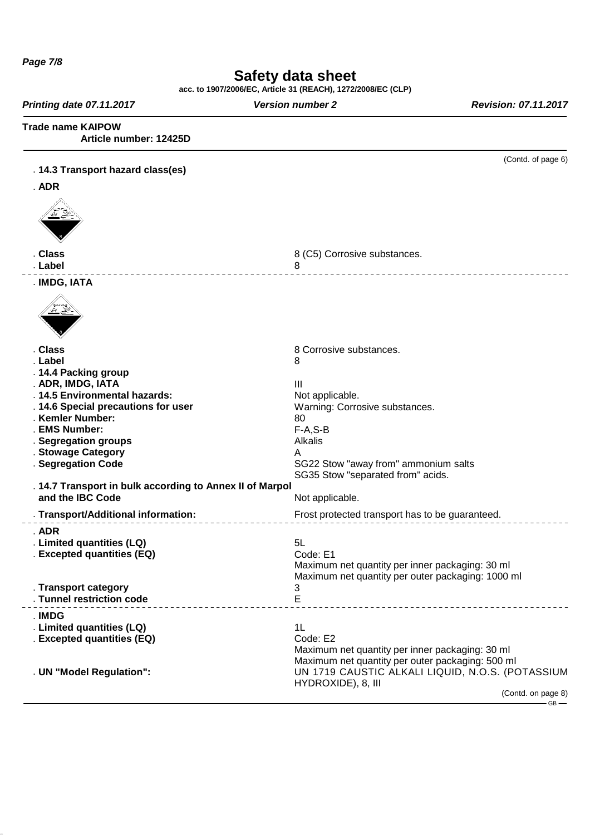**Page 7/8**

## **Safety data sheet**

**acc. to 1907/2006/EC, Article 31 (REACH), 1272/2008/EC (CLP)**

**Printing date 07.11.2017 Version number 2 Revision: 07.11.2017 Revision: 07.11.2017** 

**Trade name KAIPOW**

**Article number: 12425D**

| . ADR<br>. Class<br>8 (C5) Corrosive substances.<br>. Label<br>8<br>. IMDG, IATA<br>. Class<br>8 Corrosive substances.<br>. Label<br>8<br>. 14.4 Packing group<br>III<br>. ADR, IMDG, IATA<br>. 14.5 Environmental hazards:<br>Not applicable.<br>. 14.6 Special precautions for user<br>Warning: Corrosive substances.<br>. Kemler Number:<br>80<br>. EMS Number:<br>$F-A, S-B$<br>. Segregation groups<br>Alkalis<br>. Stowage Category<br>A<br>. Segregation Code<br>SG22 Stow "away from" ammonium salts<br>SG35 Stow "separated from" acids.<br>. 14.7 Transport in bulk according to Annex II of Marpol<br>and the IBC Code<br>Not applicable.<br>. Transport/Additional information:<br>Frost protected transport has to be guaranteed.<br>. ADR<br>. Limited quantities (LQ)<br>5L<br>. Excepted quantities (EQ)<br>Code: E1<br>Maximum net quantity per inner packaging: 30 ml<br>Maximum net quantity per outer packaging: 1000 ml<br>3<br>. Transport category<br>E<br>. Tunnel restriction code<br>. IMDG<br>1L<br>. Limited quantities (LQ)<br>. Excepted quantities (EQ)<br>Code: E2<br>Maximum net quantity per inner packaging: 30 ml<br>Maximum net quantity per outer packaging: 500 ml<br>UN 1719 CAUSTIC ALKALI LIQUID, N.O.S. (POTASSIUM<br>. UN "Model Regulation":<br>HYDROXIDE), 8, III<br>(Contd. on page 8)<br>$-$ GB $-$ | . 14.3 Transport hazard class(es) | (Contd. of page 6) |
|-----------------------------------------------------------------------------------------------------------------------------------------------------------------------------------------------------------------------------------------------------------------------------------------------------------------------------------------------------------------------------------------------------------------------------------------------------------------------------------------------------------------------------------------------------------------------------------------------------------------------------------------------------------------------------------------------------------------------------------------------------------------------------------------------------------------------------------------------------------------------------------------------------------------------------------------------------------------------------------------------------------------------------------------------------------------------------------------------------------------------------------------------------------------------------------------------------------------------------------------------------------------------------------------------------------------------------------------------------|-----------------------------------|--------------------|
|                                                                                                                                                                                                                                                                                                                                                                                                                                                                                                                                                                                                                                                                                                                                                                                                                                                                                                                                                                                                                                                                                                                                                                                                                                                                                                                                                     |                                   |                    |
|                                                                                                                                                                                                                                                                                                                                                                                                                                                                                                                                                                                                                                                                                                                                                                                                                                                                                                                                                                                                                                                                                                                                                                                                                                                                                                                                                     |                                   |                    |
|                                                                                                                                                                                                                                                                                                                                                                                                                                                                                                                                                                                                                                                                                                                                                                                                                                                                                                                                                                                                                                                                                                                                                                                                                                                                                                                                                     |                                   |                    |
|                                                                                                                                                                                                                                                                                                                                                                                                                                                                                                                                                                                                                                                                                                                                                                                                                                                                                                                                                                                                                                                                                                                                                                                                                                                                                                                                                     |                                   |                    |
|                                                                                                                                                                                                                                                                                                                                                                                                                                                                                                                                                                                                                                                                                                                                                                                                                                                                                                                                                                                                                                                                                                                                                                                                                                                                                                                                                     |                                   |                    |
|                                                                                                                                                                                                                                                                                                                                                                                                                                                                                                                                                                                                                                                                                                                                                                                                                                                                                                                                                                                                                                                                                                                                                                                                                                                                                                                                                     |                                   |                    |
|                                                                                                                                                                                                                                                                                                                                                                                                                                                                                                                                                                                                                                                                                                                                                                                                                                                                                                                                                                                                                                                                                                                                                                                                                                                                                                                                                     |                                   |                    |
|                                                                                                                                                                                                                                                                                                                                                                                                                                                                                                                                                                                                                                                                                                                                                                                                                                                                                                                                                                                                                                                                                                                                                                                                                                                                                                                                                     |                                   |                    |
|                                                                                                                                                                                                                                                                                                                                                                                                                                                                                                                                                                                                                                                                                                                                                                                                                                                                                                                                                                                                                                                                                                                                                                                                                                                                                                                                                     |                                   |                    |
|                                                                                                                                                                                                                                                                                                                                                                                                                                                                                                                                                                                                                                                                                                                                                                                                                                                                                                                                                                                                                                                                                                                                                                                                                                                                                                                                                     |                                   |                    |
|                                                                                                                                                                                                                                                                                                                                                                                                                                                                                                                                                                                                                                                                                                                                                                                                                                                                                                                                                                                                                                                                                                                                                                                                                                                                                                                                                     |                                   |                    |
|                                                                                                                                                                                                                                                                                                                                                                                                                                                                                                                                                                                                                                                                                                                                                                                                                                                                                                                                                                                                                                                                                                                                                                                                                                                                                                                                                     |                                   |                    |
|                                                                                                                                                                                                                                                                                                                                                                                                                                                                                                                                                                                                                                                                                                                                                                                                                                                                                                                                                                                                                                                                                                                                                                                                                                                                                                                                                     |                                   |                    |